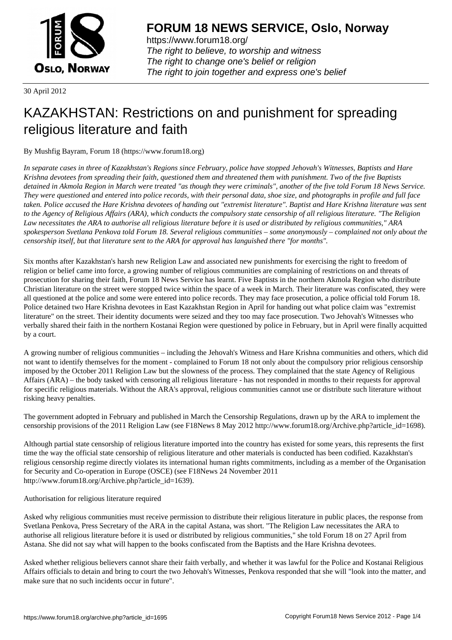

https://www.forum18.org/ The right to believe, to worship and witness The right to change one's belief or religion [The right to join together a](https://www.forum18.org/)nd express one's belief

30 April 2012

# [KAZAKHSTAN:](https://www.forum18.org) Restrictions on and punishment for spreading religious literature and faith

By Mushfig Bayram, Forum 18 (https://www.forum18.org)

*In separate cases in three of Kazakhstan's Regions since February, police have stopped Jehovah's Witnesses, Baptists and Hare Krishna devotees from spreading their faith, questioned them and threatened them with punishment. Two of the five Baptists detained in Akmola Region in March were treated "as though they were criminals", another of the five told Forum 18 News Service. They were questioned and entered into police records, with their personal data, shoe size, and photographs in profile and full face taken. Police accused the Hare Krishna devotees of handing out "extremist literature". Baptist and Hare Krishna literature was sent to the Agency of Religious Affairs (ARA), which conducts the compulsory state censorship of all religious literature. "The Religion Law necessitates the ARA to authorise all religious literature before it is used or distributed by religious communities," ARA spokesperson Svetlana Penkova told Forum 18. Several religious communities – some anonymously – complained not only about the censorship itself, but that literature sent to the ARA for approval has languished there "for months".*

Six months after Kazakhstan's harsh new Religion Law and associated new punishments for exercising the right to freedom of religion or belief came into force, a growing number of religious communities are complaining of restrictions on and threats of prosecution for sharing their faith, Forum 18 News Service has learnt. Five Baptists in the northern Akmola Region who distribute Christian literature on the street were stopped twice within the space of a week in March. Their literature was confiscated, they were all questioned at the police and some were entered into police records. They may face prosecution, a police official told Forum 18. Police detained two Hare Krishna devotees in East Kazakhstan Region in April for handing out what police claim was "extremist literature" on the street. Their identity documents were seized and they too may face prosecution. Two Jehovah's Witnesses who verbally shared their faith in the northern Kostanai Region were questioned by police in February, but in April were finally acquitted by a court.

A growing number of religious communities – including the Jehovah's Witness and Hare Krishna communities and others, which did not want to identify themselves for the moment - complained to Forum 18 not only about the compulsory prior religious censorship imposed by the October 2011 Religion Law but the slowness of the process. They complained that the state Agency of Religious Affairs (ARA) – the body tasked with censoring all religious literature - has not responded in months to their requests for approval for specific religious materials. Without the ARA's approval, religious communities cannot use or distribute such literature without risking heavy penalties.

The government adopted in February and published in March the Censorship Regulations, drawn up by the ARA to implement the censorship provisions of the 2011 Religion Law (see F18News 8 May 2012 http://www.forum18.org/Archive.php?article\_id=1698).

Although partial state censorship of religious literature imported into the country has existed for some years, this represents the first time the way the official state censorship of religious literature and other materials is conducted has been codified. Kazakhstan's religious censorship regime directly violates its international human rights commitments, including as a member of the Organisation for Security and Co-operation in Europe (OSCE) (see F18News 24 November 2011 http://www.forum18.org/Archive.php?article\_id=1639).

Authorisation for religious literature required

Asked why religious communities must receive permission to distribute their religious literature in public places, the response from Svetlana Penkova, Press Secretary of the ARA in the capital Astana, was short. "The Religion Law necessitates the ARA to authorise all religious literature before it is used or distributed by religious communities," she told Forum 18 on 27 April from Astana. She did not say what will happen to the books confiscated from the Baptists and the Hare Krishna devotees.

Asked whether religious believers cannot share their faith verbally, and whether it was lawful for the Police and Kostanai Religious Affairs officials to detain and bring to court the two Jehovah's Witnesses, Penkova responded that she will "look into the matter, and make sure that no such incidents occur in future".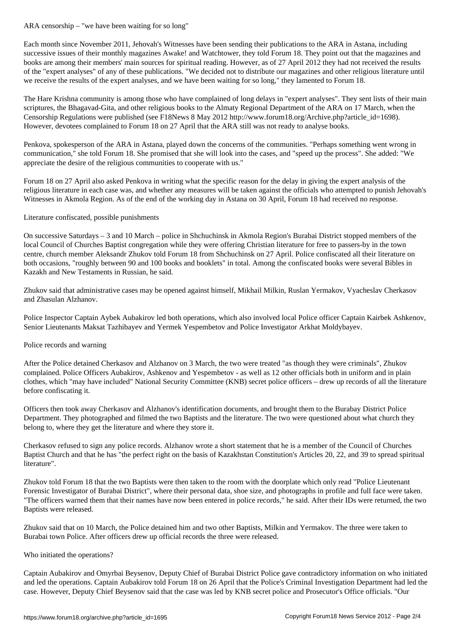Each month since November 2011, Jehovah's Witnesses have been sending their publications to the ARA in Astana, including successive issues of their monthly magazines Awake! and Watchtower, they told Forum 18. They point out that the magazines and books are among their members' main sources for spiritual reading. However, as of 27 April 2012 they had not received the results of the "expert analyses" of any of these publications. "We decided not to distribute our magazines and other religious literature until we receive the results of the expert analyses, and we have been waiting for so long," they lamented to Forum 18.

The Hare Krishna community is among those who have complained of long delays in "expert analyses". They sent lists of their main scriptures, the Bhagavad-Gita, and other religious books to the Almaty Regional Department of the ARA on 17 March, when the Censorship Regulations were published (see F18News 8 May 2012 http://www.forum18.org/Archive.php?article\_id=1698). However, devotees complained to Forum 18 on 27 April that the ARA still was not ready to analyse books.

Penkova, spokesperson of the ARA in Astana, played down the concerns of the communities. "Perhaps something went wrong in communication," she told Forum 18. She promised that she will look into the cases, and "speed up the process". She added: "We appreciate the desire of the religious communities to cooperate with us."

Forum 18 on 27 April also asked Penkova in writing what the specific reason for the delay in giving the expert analysis of the religious literature in each case was, and whether any measures will be taken against the officials who attempted to punish Jehovah's Witnesses in Akmola Region. As of the end of the working day in Astana on 30 April, Forum 18 had received no response.

### Literature confiscated, possible punishments

On successive Saturdays – 3 and 10 March – police in Shchuchinsk in Akmola Region's Burabai District stopped members of the local Council of Churches Baptist congregation while they were offering Christian literature for free to passers-by in the town centre, church member Aleksandr Zhukov told Forum 18 from Shchuchinsk on 27 April. Police confiscated all their literature on both occasions, "roughly between 90 and 100 books and booklets" in total. Among the confiscated books were several Bibles in Kazakh and New Testaments in Russian, he said.

Zhukov said that administrative cases may be opened against himself, Mikhail Milkin, Ruslan Yermakov, Vyacheslav Cherkasov and Zhasulan Alzhanov.

Police Inspector Captain Aybek Aubakirov led both operations, which also involved local Police officer Captain Kairbek Ashkenov, Senior Lieutenants Maksat Tazhibayev and Yermek Yespembetov and Police Investigator Arkhat Moldybayev.

## Police records and warning

After the Police detained Cherkasov and Alzhanov on 3 March, the two were treated "as though they were criminals", Zhukov complained. Police Officers Aubakirov, Ashkenov and Yespembetov - as well as 12 other officials both in uniform and in plain clothes, which "may have included" National Security Committee (KNB) secret police officers – drew up records of all the literature before confiscating it.

Officers then took away Cherkasov and Alzhanov's identification documents, and brought them to the Burabay District Police Department. They photographed and filmed the two Baptists and the literature. The two were questioned about what church they belong to, where they get the literature and where they store it.

Cherkasov refused to sign any police records. Alzhanov wrote a short statement that he is a member of the Council of Churches Baptist Church and that he has "the perfect right on the basis of Kazakhstan Constitution's Articles 20, 22, and 39 to spread spiritual literature".

Zhukov told Forum 18 that the two Baptists were then taken to the room with the doorplate which only read "Police Lieutenant Forensic Investigator of Burabai District", where their personal data, shoe size, and photographs in profile and full face were taken. "The officers warned them that their names have now been entered in police records," he said. After their IDs were returned, the two Baptists were released.

Zhukov said that on 10 March, the Police detained him and two other Baptists, Milkin and Yermakov. The three were taken to Burabai town Police. After officers drew up official records the three were released.

#### Who initiated the operations?

Captain Aubakirov and Omyrbai Beysenov, Deputy Chief of Burabai District Police gave contradictory information on who initiated and led the operations. Captain Aubakirov told Forum 18 on 26 April that the Police's Criminal Investigation Department had led the case. However, Deputy Chief Beysenov said that the case was led by KNB secret police and Prosecutor's Office officials. "Our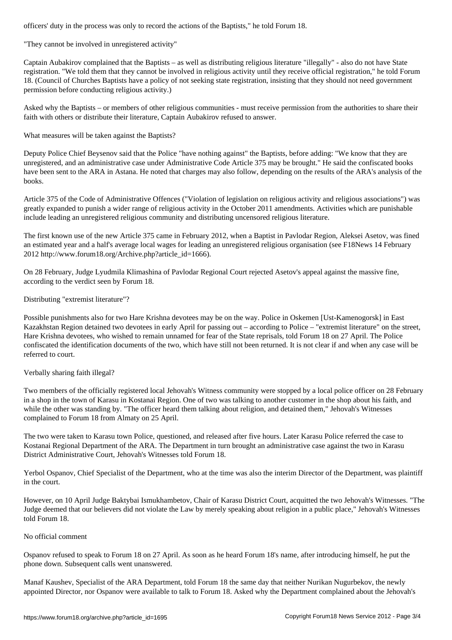"They cannot be involved in unregistered activity"

Captain Aubakirov complained that the Baptists – as well as distributing religious literature "illegally" - also do not have State registration. "We told them that they cannot be involved in religious activity until they receive official registration," he told Forum 18. (Council of Churches Baptists have a policy of not seeking state registration, insisting that they should not need government permission before conducting religious activity.)

Asked why the Baptists – or members of other religious communities - must receive permission from the authorities to share their faith with others or distribute their literature, Captain Aubakirov refused to answer.

What measures will be taken against the Baptists?

Deputy Police Chief Beysenov said that the Police "have nothing against" the Baptists, before adding: "We know that they are unregistered, and an administrative case under Administrative Code Article 375 may be brought." He said the confiscated books have been sent to the ARA in Astana. He noted that charges may also follow, depending on the results of the ARA's analysis of the books.

Article 375 of the Code of Administrative Offences ("Violation of legislation on religious activity and religious associations") was greatly expanded to punish a wider range of religious activity in the October 2011 amendments. Activities which are punishable include leading an unregistered religious community and distributing uncensored religious literature.

The first known use of the new Article 375 came in February 2012, when a Baptist in Pavlodar Region, Aleksei Asetov, was fined an estimated year and a half's average local wages for leading an unregistered religious organisation (see F18News 14 February 2012 http://www.forum18.org/Archive.php?article\_id=1666).

On 28 February, Judge Lyudmila Klimashina of Pavlodar Regional Court rejected Asetov's appeal against the massive fine, according to the verdict seen by Forum 18.

## Distributing "extremist literature"?

Possible punishments also for two Hare Krishna devotees may be on the way. Police in Oskemen [Ust-Kamenogorsk] in East Kazakhstan Region detained two devotees in early April for passing out – according to Police – "extremist literature" on the street, Hare Krishna devotees, who wished to remain unnamed for fear of the State reprisals, told Forum 18 on 27 April. The Police confiscated the identification documents of the two, which have still not been returned. It is not clear if and when any case will be referred to court.

Verbally sharing faith illegal?

Two members of the officially registered local Jehovah's Witness community were stopped by a local police officer on 28 February in a shop in the town of Karasu in Kostanai Region. One of two was talking to another customer in the shop about his faith, and while the other was standing by. "The officer heard them talking about religion, and detained them," Jehovah's Witnesses complained to Forum 18 from Almaty on 25 April.

The two were taken to Karasu town Police, questioned, and released after five hours. Later Karasu Police referred the case to Kostanai Regional Department of the ARA. The Department in turn brought an administrative case against the two in Karasu District Administrative Court, Jehovah's Witnesses told Forum 18.

Yerbol Ospanov, Chief Specialist of the Department, who at the time was also the interim Director of the Department, was plaintiff in the court.

However, on 10 April Judge Baktybai Ismukhambetov, Chair of Karasu District Court, acquitted the two Jehovah's Witnesses. "The Judge deemed that our believers did not violate the Law by merely speaking about religion in a public place," Jehovah's Witnesses told Forum 18.

## No official comment

Ospanov refused to speak to Forum 18 on 27 April. As soon as he heard Forum 18's name, after introducing himself, he put the phone down. Subsequent calls went unanswered.

Manaf Kaushev, Specialist of the ARA Department, told Forum 18 the same day that neither Nurikan Nugurbekov, the newly appointed Director, nor Ospanov were available to talk to Forum 18. Asked why the Department complained about the Jehovah's